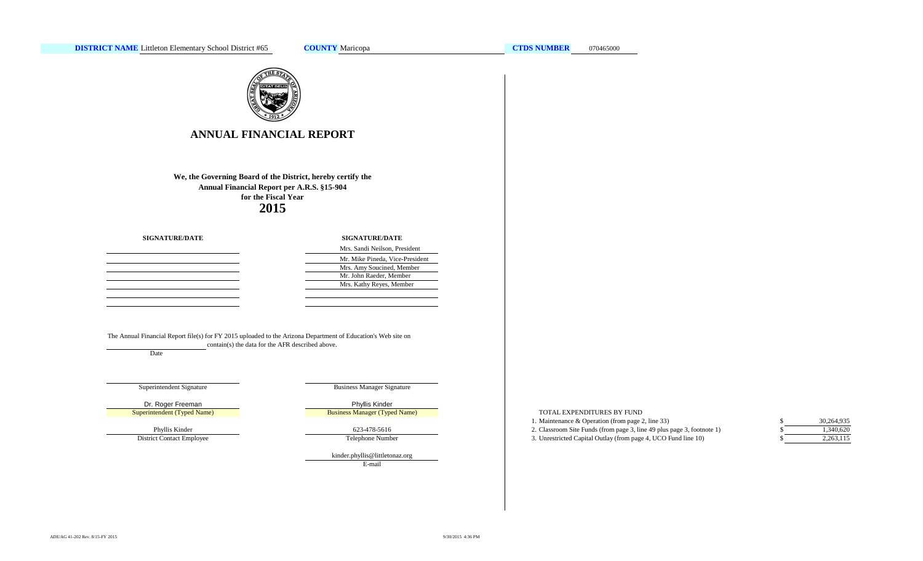

# **ANNUAL FINANCIAL REPORT**

**2015We, the Governing Board of the District, hereby certify the Annual Financial Report per A.R.S. §15-904 for the Fiscal Year**

**SIGNATURE/DATE**

| <b>SIGNATURE/DATE</b>           |
|---------------------------------|
| Mrs. Sandi Neilson, President   |
| Mr. Mike Pineda, Vice-President |
| Mrs. Amy Soucined, Member       |
| Mr. John Raeder, Member         |
| Mrs. Kathy Reyes, Member        |
|                                 |

The Annual Financial Report file(s) for FY 2015 uploaded to the Arizona Department of Education's Web site on contain(s) the data for the AFR described above.

Date

Superintendent Signature

Superintendent (Typed Name)

Phyllis Kinder District Contact Employee Business Manager Signature

Dr. Roger Freeman **Phyllis Kinder** Business Manager (Typed Name)

623-478-5616

Telephone Number

E-mail kinder.phyllis@littletonaz.org

### TOTAL EXPENDITURES BY FUND

- 1. Maintenance & Operation (from page 2, line 33) \$
- 2. Classroom Site Funds (from page 3, line 49 plus page 3, footnote 1) \$
- 3. Unrestricted Capital Outlay (from page 4, UCO Fund line 10) \$

| \$<br>30,264,935 |
|------------------|
| \$<br>1.340.620  |
| \$<br>2,263,115  |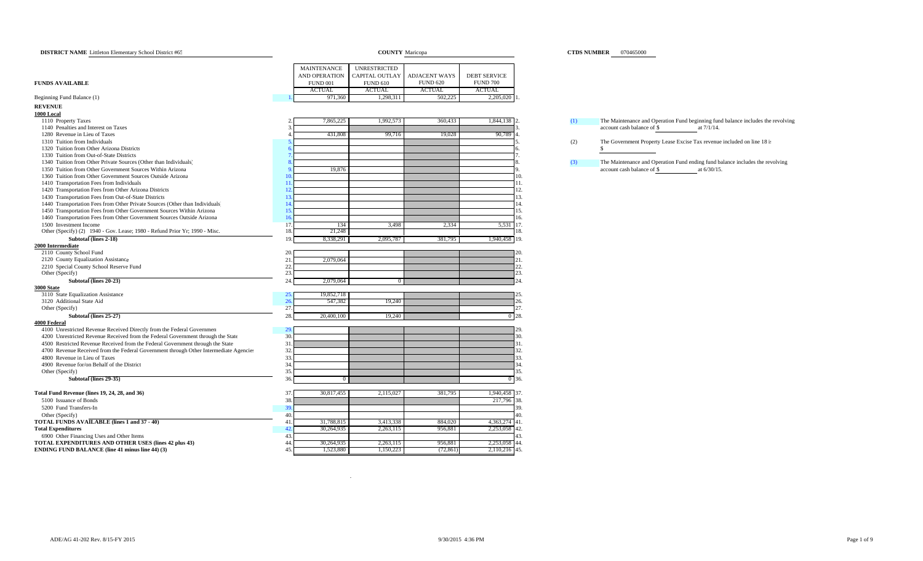| <b>DISTRICT NAME</b> Littleton Elementary School District #65                                            |                                      | <b>COUNTY</b> Maricopa |                                         |                              | <b>CTDS NUMBER</b> 070465000 |                                                                                  |  |  |  |
|----------------------------------------------------------------------------------------------------------|--------------------------------------|------------------------|-----------------------------------------|------------------------------|------------------------------|----------------------------------------------------------------------------------|--|--|--|
|                                                                                                          | MAINTENANCE                          | <b>UNRESTRICTED</b>    |                                         |                              |                              |                                                                                  |  |  |  |
|                                                                                                          | AND OPERATION                        | CAPITAL OUTLAY         |                                         | <b>DEBT SERVICE</b>          |                              |                                                                                  |  |  |  |
| <b>FUNDS AVAILABLE</b>                                                                                   | <b>FUND 001</b>                      | <b>FUND 610</b>        | <b>ADJACENT WAYS</b><br><b>FUND 620</b> | <b>FUND 700</b>              |                              |                                                                                  |  |  |  |
|                                                                                                          | <b>ACTUAL</b>                        | <b>ACTUAL</b>          | <b>ACTUAL</b>                           | <b>ACTUAL</b>                |                              |                                                                                  |  |  |  |
| Beginning Fund Balance (1)                                                                               | 971,360                              | 1,298,311              | 502,225                                 | 2,205,020 1                  |                              |                                                                                  |  |  |  |
| <b>REVENUE</b>                                                                                           |                                      |                        |                                         |                              |                              |                                                                                  |  |  |  |
| 1000 Local                                                                                               |                                      |                        |                                         |                              |                              |                                                                                  |  |  |  |
| 1110 Property Taxes                                                                                      | 7,865,225                            | 1,992,573              | 360,433                                 | 1,844,138 2                  | (1)                          | The Maintenance and Operation Fund beginning fund balance includes the revolving |  |  |  |
| 1140 Penalties and Interest on Taxes                                                                     |                                      |                        |                                         |                              |                              | account cash balance of \$<br>at 7/1/14.                                         |  |  |  |
| 1280 Revenue in Lieu of Taxes                                                                            | 431,808                              | 99,716                 | 19,028                                  | 90,789                       |                              |                                                                                  |  |  |  |
| 1310 Tuition from Individuals                                                                            |                                      |                        |                                         |                              | (2)                          | The Government Property Lease Excise Tax revenue included on line 18 is          |  |  |  |
| 1320 Tuition from Other Arizona Districts                                                                |                                      |                        |                                         |                              |                              | \$.                                                                              |  |  |  |
| 1330 Tuition from Out-of-State Districts                                                                 |                                      |                        |                                         |                              |                              |                                                                                  |  |  |  |
| 1340 Tuition from Other Private Sources (Other than Individuals)                                         |                                      |                        |                                         |                              | (3)                          | The Maintenance and Operation Fund ending fund balance includes the revolving    |  |  |  |
| 1350 Tuition from Other Government Sources Within Arizona                                                | 19,876                               |                        |                                         |                              |                              | at 6/30/15.<br>account cash balance of \$                                        |  |  |  |
| 1360 Tuition from Other Government Sources Outside Arizona                                               |                                      |                        |                                         | 10.                          |                              |                                                                                  |  |  |  |
| 1410 Transportation Fees from Individuals                                                                | 11.                                  |                        |                                         | 11.                          |                              |                                                                                  |  |  |  |
| 1420 Transportation Fees from Other Arizona Districts                                                    | 12.                                  |                        |                                         | 12.                          |                              |                                                                                  |  |  |  |
| 1430 Transportation Fees from Out-of-State Districts                                                     | 13                                   |                        |                                         | 13.                          |                              |                                                                                  |  |  |  |
| 1440 Transportation Fees from Other Private Sources (Other than Individuals)                             | 14.                                  |                        |                                         | 14.                          |                              |                                                                                  |  |  |  |
| 1450 Transportation Fees from Other Government Sources Within Arizona                                    | 15.                                  |                        |                                         | 15.                          |                              |                                                                                  |  |  |  |
| 1460 Transportation Fees from Other Government Sources Outside Arizona                                   | 16.                                  |                        |                                         | 16.                          |                              |                                                                                  |  |  |  |
| 1500 Investment Income                                                                                   | 17.<br>134                           | 3,498                  | 2,334                                   | $5,\overline{531}$ 17.       |                              |                                                                                  |  |  |  |
| Other (Specify) (2) 1940 - Gov. Lease; 1980 - Refund Prior Yr; 1990 - Misc.                              | 21,248<br>18.                        |                        |                                         | 18.                          |                              |                                                                                  |  |  |  |
| Subtotal (lines 2-18)                                                                                    | 19.<br>8,338,291                     | 2,095,787              | 381,795                                 | 1,940,458 19.                |                              |                                                                                  |  |  |  |
| 2000 Intermediate                                                                                        |                                      |                        |                                         |                              |                              |                                                                                  |  |  |  |
| 2110 County School Fund                                                                                  | 20.                                  |                        |                                         |                              |                              |                                                                                  |  |  |  |
| 2120 County Equalization Assistance                                                                      | 2,079,064<br>21                      |                        |                                         | 21.                          |                              |                                                                                  |  |  |  |
| 2210 Special County School Reserve Fund                                                                  | 22.<br>23.                           |                        |                                         | 22.<br>23.                   |                              |                                                                                  |  |  |  |
| Other (Specify)                                                                                          | 24.                                  |                        |                                         | 24                           |                              |                                                                                  |  |  |  |
| Subtotal (lines 20-23)                                                                                   | 2,079,064                            | $\overline{0}$         |                                         |                              |                              |                                                                                  |  |  |  |
| <b>3000 State</b><br>3110 State Equalization Assistance                                                  | 19,852,718                           |                        |                                         |                              |                              |                                                                                  |  |  |  |
| 3120 Additional State Aid                                                                                | 26.<br>547,382                       | 19,240                 |                                         | 26.                          |                              |                                                                                  |  |  |  |
| Other (Specify)                                                                                          | 27.                                  |                        |                                         | 27.                          |                              |                                                                                  |  |  |  |
| Subtotal (lines 25-27)                                                                                   | 28.<br>20,400,100                    | 19,240                 |                                         | $0^{\circ}28.$               |                              |                                                                                  |  |  |  |
| <b>4000 Federal</b>                                                                                      |                                      |                        |                                         |                              |                              |                                                                                  |  |  |  |
| 4100 Unrestricted Revenue Received Directly from the Federal Governmen                                   | 29.                                  |                        |                                         |                              |                              |                                                                                  |  |  |  |
| 4200 Unrestricted Revenue Received from the Federal Government through the State                         | 30.                                  |                        |                                         | 30.                          |                              |                                                                                  |  |  |  |
| 4500 Restricted Revenue Received from the Federal Government through the State                           | 31.                                  |                        |                                         | 31                           |                              |                                                                                  |  |  |  |
| 4700 Revenue Received from the Federal Government through Other Intermediate Agencies                    | 32.                                  |                        |                                         | 32.                          |                              |                                                                                  |  |  |  |
| 4800 Revenue in Lieu of Taxes                                                                            | 33.                                  |                        |                                         | 33.                          |                              |                                                                                  |  |  |  |
| 4900 Revenue for/on Behalf of the District                                                               | 34.                                  |                        |                                         | 34                           |                              |                                                                                  |  |  |  |
| Other (Specify)                                                                                          | 35.                                  |                        |                                         | 35                           |                              |                                                                                  |  |  |  |
| Subtotal (lines 29-35)                                                                                   | 36.                                  | $\Omega$               |                                         | 0.36                         |                              |                                                                                  |  |  |  |
|                                                                                                          |                                      |                        |                                         |                              |                              |                                                                                  |  |  |  |
| Total Fund Revenue (lines 19, 24, 28, and 36)                                                            | 30,817,455<br>37                     | 2,115,027              | 381,795                                 | 1,940,458 37                 |                              |                                                                                  |  |  |  |
| 5100 Issuance of Bonds                                                                                   | 38.                                  |                        |                                         | 217,796<br>38                |                              |                                                                                  |  |  |  |
| 5200 Fund Transfers-In                                                                                   | 39.<br>40.                           |                        |                                         | 39.<br>40                    |                              |                                                                                  |  |  |  |
| Other (Specify)                                                                                          |                                      |                        |                                         |                              |                              |                                                                                  |  |  |  |
| TOTAL FUNDS AVAILABLE (lines 1 and 37 - 40)<br><b>Total Expenditures</b>                                 | 31,788,815<br>41<br>30,264,935<br>42 | 3,413,338              | 884,020<br>956,881                      | 4,363,274 41<br>2,253,058 42 |                              |                                                                                  |  |  |  |
|                                                                                                          | 43.                                  | 2,263,115              |                                         | 43                           |                              |                                                                                  |  |  |  |
| 6900 Other Financing Uses and Other Items<br><b>TOTAL EXPENDITURES AND OTHER USES (lines 42 plus 43)</b> | 44.<br>30,264,935                    | 2,263,115              | 956,88                                  | 2,253,058 44                 |                              |                                                                                  |  |  |  |
| <b>ENDING FUND BALANCE (line 41 minus line 44) (3)</b>                                                   | 45.<br>1,523,880                     | 1,150,223              | (72, 861)                               | 2,110,216 45                 |                              |                                                                                  |  |  |  |
|                                                                                                          |                                      |                        |                                         |                              |                              |                                                                                  |  |  |  |

### **CTDS NUMBER** 070465000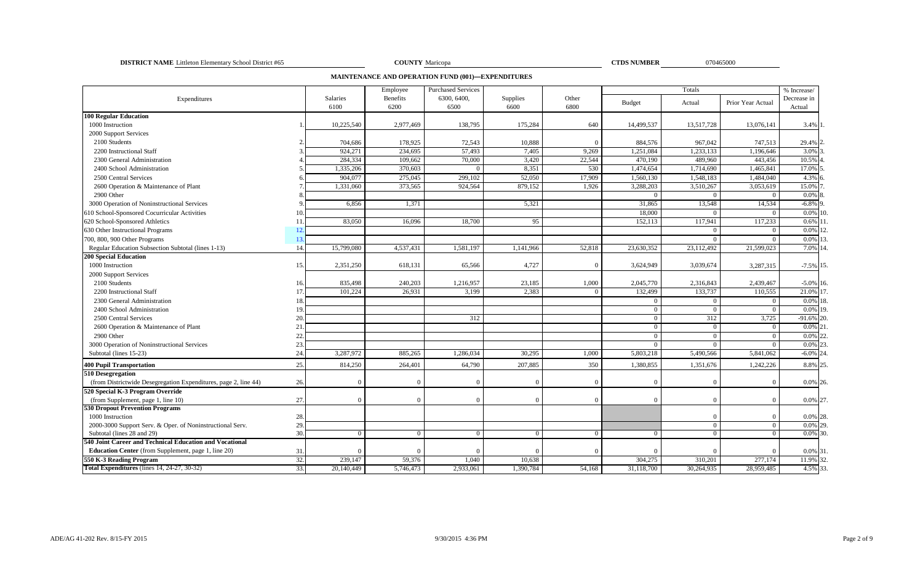**DISTRICT NAME** Littleton Elementary School District #65 070465000 **COUNTY** Maricopa **COUNTY COUNTY COUNTY COUNTY COUNTY COUNTY COUNTY COUNTY COUNTY COUNTY COUNTY COUNTY COUNTY COUNTY COUNTY C** 

COUNTY Maricopa

**CTDS NUMBER** 

**MAINTENANCE AND OPERATION FUND (001)—EXPENDITURES**

|                                                                 |     |            | Employee        | <b>Purchased Services</b> |                |          |                | % Increase/ |                   |              |  |
|-----------------------------------------------------------------|-----|------------|-----------------|---------------------------|----------------|----------|----------------|-------------|-------------------|--------------|--|
| Expenditures                                                    |     | Salaries   | <b>Benefits</b> | 6300, 6400,               | Supplies       | Other    | <b>Budget</b>  | Actual      | Prior Year Actual | Decrease in  |  |
|                                                                 |     | 6100       | 6200            | 6500                      | 6600           | 6800     |                |             |                   | Actual       |  |
| <b>100 Regular Education</b>                                    |     |            |                 |                           |                |          |                |             |                   |              |  |
| 1000 Instruction                                                |     | 10,225,540 | 2,977,469       | 138,795                   | 175,284        | 640      | 14,499,537     | 13,517,728  | 13,076,141        | 3.4% 1       |  |
| 2000 Support Services                                           |     |            |                 |                           |                |          |                |             |                   |              |  |
| 2100 Students                                                   |     | 704,686    | 178,925         | 72,543                    | 10,888         | $\Omega$ | 884,576        | 967,042     | 747,513           | 29.4% 2      |  |
| 2200 Instructional Staff                                        |     | 924,271    | 234,695         | 57,493                    | 7,405          | 9,269    | 1,251,084      | 1,233,133   | 1,196,646         | 3.0%         |  |
| 2300 General Administration                                     |     | 284,334    | 109,662         | 70,000                    | 3,420          | 22,544   | 470,190        | 489,960     | 443,456           | 10.5%        |  |
| 2400 School Administration                                      |     | 1,335,206  | 370,603         |                           | 8,351          | 530      | 1.474.654      | 1,714,690   | 1,465,841         | 17.0%        |  |
| 2500 Central Services                                           |     | 904,077    | 275,045         | 299,102                   | 52,050         | 17,909   | 1,560,130      | 1,548,183   | 1,484,040         | 4.3% 6       |  |
| 2600 Operation & Maintenance of Plant                           |     | 1,331,060  | 373,565         | 924,564                   | 879,152        | 1,926    | 3,288,203      | 3,510,267   | 3,053,619         | 15.0%        |  |
| 2900 Other                                                      |     |            |                 |                           |                |          | $\Omega$       |             | $\Omega$          | $0.0\%$ 8    |  |
| 3000 Operation of Noninstructional Services                     |     | 6,856      | 1,371           |                           | 5,321          |          | 31,865         | 13,548      | 14,534            | $-6.8\%$ 9   |  |
| 610 School-Sponsored Cocurricular Activities                    |     |            |                 |                           |                |          | 18,000         |             | $\Omega$          | $0.0\%$ 10   |  |
| 620 School-Sponsored Athletics                                  | 11  | 83,050     | 16,096          | 18,700                    | 95             |          | 152,113        | 117,941     | 117,233           | $0.6\%$ 1    |  |
| 630 Other Instructional Programs                                | 12. |            |                 |                           |                |          |                | $\Omega$    | $\Omega$          | 0.0%         |  |
| 700, 800, 900 Other Programs                                    | 13  |            |                 |                           |                |          |                |             | $\Omega$          | 0.0% 13      |  |
| Regular Education Subsection Subtotal (lines 1-13)              | 14  | 15,799,080 | 4,537,431       | 1,581,197                 | 1,141,966      | 52,818   | 23,630,352     | 23,112,492  | 21,599,023        | 7.0% 14.     |  |
| <b>200 Special Education</b>                                    |     |            |                 |                           |                |          |                |             |                   |              |  |
| 1000 Instruction                                                | 15. | 2,351,250  | 618,131         | 65,566                    | 4,727          | $\Omega$ | 3,624,949      | 3,039,674   | 3,287,315         | $-7.5\%$ 15. |  |
| 2000 Support Services                                           |     |            |                 |                           |                |          |                |             |                   |              |  |
| 2100 Students                                                   | 16. | 835,498    | 240,203         | 1,216,957                 | 23,185         | 1,000    | 2,045,770      | 2,316,843   | 2,439,467         | $-5.0\%$ 16. |  |
| 2200 Instructional Staff                                        | 17  | 101,224    | 26,931          | 3,199                     | 2,383          | $\Omega$ | 132,499        | 133,737     | 110,555           | 21.0% 17     |  |
| 2300 General Administration                                     | 18  |            |                 |                           |                |          | $\theta$       | $\Omega$    | $\overline{0}$    | 0.0%         |  |
| 2400 School Administration                                      | 19  |            |                 |                           |                |          | $\theta$       | $\Omega$    | $\Omega$          | 0.0% 19      |  |
| 2500 Central Services                                           | 20  |            |                 | 312                       |                |          | $\overline{0}$ | 312         | 3,725             | $-91.6\%$ 20 |  |
| 2600 Operation & Maintenance of Plant                           | 21  |            |                 |                           |                |          | $\theta$       | $\Omega$    | $\Omega$          | 0.0%         |  |
| 2900 Other                                                      | 22  |            |                 |                           |                |          | $\theta$       | $\Omega$    | $\Omega$          | 0.0%         |  |
| 3000 Operation of Noninstructional Services                     | 23. |            |                 |                           |                |          | $\overline{0}$ | $\Omega$    | $\overline{0}$    | $0.0\%$ 2.   |  |
| Subtotal (lines 15-23)                                          | 24  | 3,287,972  | 885,265         | 1,286,034                 | 30,295         | 1,000    | 5,803,218      | 5,490,566   | 5,841,062         | $-6.0\%$ 24  |  |
| <b>400 Pupil Transportation</b>                                 | 25. | 814,250    | 264,401         | 64,790                    | 207,885        | 350      | 1,380,855      | 1,351,676   | 1,242,226         | 8.8% 25      |  |
| 510 Desegregation                                               |     |            |                 |                           |                |          |                |             |                   |              |  |
| (from Districtwide Desegregation Expenditures, page 2, line 44) | 26. |            | $\Omega$        |                           | $\Omega$       | $\Omega$ | $\Omega$       |             | $\Omega$          | 0.0% 26.     |  |
| 520 Special K-3 Program Override                                |     |            |                 |                           |                |          |                |             |                   |              |  |
| (from Supplement, page 1, line 10)                              | 27. |            | $\Omega$        |                           | $\Omega$       | $\Omega$ | $\Omega$       | $\Omega$    | $\Omega$          | 0.0% 27.     |  |
| <b>530 Dropout Prevention Programs</b>                          |     |            |                 |                           |                |          |                |             |                   |              |  |
| 1000 Instruction                                                | 28. |            |                 |                           |                |          |                |             |                   | 0.0% 28.     |  |
| 2000-3000 Support Serv. & Oper. of Noninstructional Serv.       | 29  |            |                 |                           |                |          |                | $\Omega$    | $\overline{0}$    | 0.0% 29      |  |
| Subtotal (lines 28 and 29)                                      | 30. | $\Omega$   | $\Omega$        |                           | $\overline{0}$ | $\Omega$ | $\overline{0}$ | $\Omega$    | $\overline{0}$    | $0.0\%$ 30.  |  |
| 540 Joint Career and Technical Education and Vocational         |     |            |                 |                           |                |          |                |             |                   |              |  |
| <b>Education Center</b> (from Supplement, page 1, line 20)      | 31  |            | $\Omega$        |                           | $\Omega$       | $\Omega$ | $\Omega$       |             | $\Omega$          | 0.0% 31.     |  |
| 550 K-3 Reading Program                                         | 32. | 239,147    | 59,376          | 1,040                     | 10,638         |          | 304,275        | 310,201     | 277,174           | 11.9% 32.    |  |
| Total Expenditures (lines 14, 24-27, 30-32)                     | 33. | 20,140,449 | 5,746,473       | 2,933,061                 | 1,390,784      | 54,168   | 31,118,700     | 30,264,935  | 28,959,485        | 4.5% 33.     |  |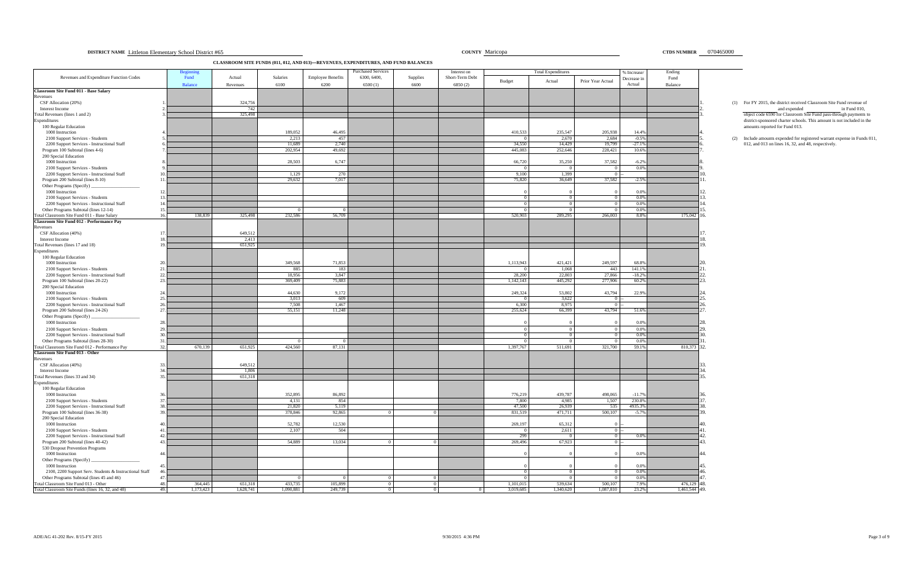| 070465000<br>COUNTY Maricopa<br><b>CTDS NUMBER</b><br><b>DISTRICT NAME</b> Littleton Elementary School District #65 |
|---------------------------------------------------------------------------------------------------------------------|
|---------------------------------------------------------------------------------------------------------------------|

**CLASSROOM SITE FUNDS (011, 012, AND 013)—REVENUES, EXPENDITURES, AND FUND BALANCES**

|                                                                                                  | <b>Beginnin</b> |                  |                       |                          | <b>Purchased Services</b> |            | Interest on     |                           | <b>Total Expenditures</b> |                     | % Increase/        | Ending        |                                                                                                       |
|--------------------------------------------------------------------------------------------------|-----------------|------------------|-----------------------|--------------------------|---------------------------|------------|-----------------|---------------------------|---------------------------|---------------------|--------------------|---------------|-------------------------------------------------------------------------------------------------------|
| Revenues and Expenditure Function Codes                                                          | Fund            | Actual           | Salaries              | <b>Employee Benefits</b> | 6300, 6400,               | Supplies   | Short-Term Debt | Budget                    | Actual                    | Prior Year Actual   | Decrease in        | Fund          |                                                                                                       |
| Classroom Site Fund 011 - Base Salary                                                            | Balance         | Revenues         | 6100                  | 6200                     | 6500(1)                   | 6600       | 6850(2)         |                           |                           |                     | Actual             | Balance       |                                                                                                       |
| Revenues                                                                                         |                 |                  |                       |                          |                           |            |                 |                           |                           |                     |                    |               |                                                                                                       |
| CSF Allocation (20%)<br>Interest Income                                                          |                 | 324,756<br>742   |                       |                          |                           |            |                 |                           |                           |                     |                    |               | (1) For FY 2015, the district received Classroom Site Fund revenue of<br>and expended<br>in Fund 010, |
| Total Revenues (lines 1 and 2)                                                                   |                 | 325,498          |                       |                          |                           |            |                 |                           |                           |                     |                    |               | object code 6590 for Classroom Site Fund pass-through payments to                                     |
| Expenditures                                                                                     |                 |                  |                       |                          |                           |            |                 |                           |                           |                     |                    |               | district-sponsored charter schools. This amount is not included in the                                |
| 100 Regular Education<br>1000 Instruction                                                        |                 |                  | 189,052               | 46,495                   |                           |            |                 | 410,533                   | 235,547                   | 205,938             | 14.4%              |               | amounts reported for Fund 013.                                                                        |
| 2100 Support Services - Students                                                                 |                 |                  | 2,213                 | 457                      |                           |            |                 |                           | 2,670                     | 2,684               | $-0.5%$            |               | (2) Include amounts expended for registered warrant expense in Funds 011                              |
| 2200 Support Services - Instructional Staff                                                      |                 |                  | 11,689                | 2,740                    |                           |            |                 | 34,550                    | 14,429                    | 19,799              | $-27.19$           |               | 012, and 013 on lines 16, 32, and 48, respectively.                                                   |
| Program 100 Subtotal (lines 4-6)                                                                 |                 |                  | 202,954               | 49,692                   |                           |            |                 | 445,083                   | 252,646                   | 228,421             | 10.6%              |               |                                                                                                       |
| 200 Special Education<br>1000 Instruction                                                        |                 |                  | 28,503                | 6,747                    |                           |            |                 | 66,720                    | 35,250                    | 37,582              | $-6.2%$            |               |                                                                                                       |
| 2100 Support Services - Students                                                                 |                 |                  |                       |                          |                           |            |                 | $\overline{0}$            | $\Omega$                  | $\Omega$            | 0.0%               |               |                                                                                                       |
| 2200 Support Services - Instructional Staff                                                      |                 |                  | 1,129                 | 270                      |                           |            |                 | 9,100                     | 1,399                     | $\Omega$            |                    |               |                                                                                                       |
| Program 200 Subtotal (lines 8-10)<br>Other Programs (Specify)                                    |                 |                  | 29,632                | 7,017                    |                           |            |                 | 75,820                    | 36,649                    | 37,582              | $-2.5%$            |               |                                                                                                       |
| 1000 Instruction                                                                                 |                 |                  |                       |                          |                           |            |                 |                           |                           |                     | 0.0%               |               |                                                                                                       |
| 2100 Support Services - Students                                                                 |                 |                  |                       |                          |                           |            |                 | $\Omega$                  | $\Omega$                  | - 0                 | 0.0%               |               |                                                                                                       |
| 2200 Support Services - Instructional Staff                                                      |                 |                  |                       |                          |                           |            |                 |                           |                           |                     | 0.0%               |               |                                                                                                       |
| Other Programs Subtotal (lines 12-14)<br>15<br>Total Classroom Site Fund 011 - Base Salary<br>16 | 138,839         | 325,498          | 232,586               | 56,709                   |                           |            |                 | 520,903                   | 289,295                   | 266,003             | 0.0%<br>8.8%       | 175,042       | 6                                                                                                     |
| <b>Classroom Site Fund 012 - Performance Pay</b>                                                 |                 |                  |                       |                          |                           |            |                 |                           |                           |                     |                    |               |                                                                                                       |
| Revenues                                                                                         |                 |                  |                       |                          |                           |            |                 |                           |                           |                     |                    |               |                                                                                                       |
| CSF Allocation (40%)<br>Interest Income                                                          |                 | 649,512<br>2,413 |                       |                          |                           |            |                 |                           |                           |                     |                    |               | R.                                                                                                    |
| Total Revenues (lines 17 and 18)                                                                 |                 | 651,925          |                       |                          |                           |            |                 |                           |                           |                     |                    |               | $\mathbf{Q}$                                                                                          |
| Expenditures                                                                                     |                 |                  |                       |                          |                           |            |                 |                           |                           |                     |                    |               |                                                                                                       |
| 100 Regular Education                                                                            |                 |                  |                       |                          |                           |            |                 |                           |                           |                     |                    |               |                                                                                                       |
| 1000 Instruction<br>2100 Support Services - Students                                             |                 |                  | 349,568<br>885        | 71,853<br>183            |                           |            |                 | 1,113,943                 | 421,421<br>1,068          | 249,597<br>443      | 68.8%<br>141.1%    |               |                                                                                                       |
| 2200 Support Services - Instructional Staff                                                      |                 |                  | 18,956                | 3,847                    |                           |            |                 | 28,200                    | 22,803                    | 27,866              | $-18.2%$           |               |                                                                                                       |
| Program 100 Subtotal (lines 20-22)<br>23                                                         |                 |                  | 369,409               | 75,883                   |                           |            |                 | 1,142,143                 | 445,292                   | 277,906             | 60.2%              |               |                                                                                                       |
| 200 Special Education<br>1000 Instruction                                                        |                 |                  | 44,630                | 9,172                    |                           |            |                 | 249,324                   | 53,802                    | 43,794              | 22.9%              |               |                                                                                                       |
| 2100 Support Services - Students                                                                 |                 |                  | 3,013                 | 609                      |                           |            |                 | $\Omega$                  | 3,622                     | $\Omega$            |                    |               |                                                                                                       |
| 2200 Support Services - Instructional Staff                                                      |                 |                  | 7.508                 | 1.467                    |                           |            |                 | 6.300                     | 8.975                     | $\overline{0}$      |                    |               |                                                                                                       |
| Program 200 Subtotal (lines 24-26)                                                               |                 |                  | 55,151                | 11,248                   |                           |            |                 | 255,624                   | 66,399                    | 43,794              | 51.6%              |               |                                                                                                       |
| Other Programs (Specify)<br>1000 Instruction                                                     |                 |                  |                       |                          |                           |            |                 |                           |                           |                     | 0.0%               |               |                                                                                                       |
| 2100 Support Services - Students                                                                 |                 |                  |                       |                          |                           |            |                 | $\Omega$                  |                           | $\Omega$            | 0.0%               |               |                                                                                                       |
| 2200 Support Services - Instructional Staff                                                      |                 |                  |                       |                          |                           |            |                 |                           |                           | $\Omega$            | 0.0%               |               |                                                                                                       |
| Other Programs Subtotal (lines 28-30)<br>$-31$                                                   |                 |                  |                       |                          |                           |            |                 |                           |                           |                     | 0.0%               |               |                                                                                                       |
| Total Classroom Site Fund 012 - Performance Pay<br>32.<br><b>Classroom Site Fund 013 - Other</b> | 670,139         | 651,925          | 424,560               | 87,131                   |                           |            |                 | 1,397,767                 | 511,691                   | 321,700             | 59.19              | 810,373       | 32.                                                                                                   |
| Revenues                                                                                         |                 |                  |                       |                          |                           |            |                 |                           |                           |                     |                    |               |                                                                                                       |
| CSF Allocation (40%)<br>33                                                                       |                 | 649,512          |                       |                          |                           |            |                 |                           |                           |                     |                    |               |                                                                                                       |
| Interest Income<br>Total Revenues (lines 33 and 34)                                              |                 | 1,806<br>651,318 |                       |                          |                           |            |                 |                           |                           |                     |                    |               | łΔ.                                                                                                   |
| Expenditures                                                                                     |                 |                  |                       |                          |                           |            |                 |                           |                           |                     |                    |               |                                                                                                       |
| 100 Regular Education                                                                            |                 |                  |                       |                          |                           |            |                 |                           |                           |                     |                    |               |                                                                                                       |
| 1000 Instruction<br>2100 Support Services - Students                                             |                 |                  | 352,895<br>4,131      | 86,892<br>854            |                           |            |                 | 776,219<br>7,800          | 439,787<br>4,985          | 498,065<br>1,507    | $-11.7%$<br>230.8% |               |                                                                                                       |
| 2200 Support Services - Instructional Staff                                                      |                 |                  | 21,820                | 5,119                    |                           |            |                 | 47,500                    | 26,939                    | 535                 | 4935.39            |               |                                                                                                       |
| Program 100 Subtotal (lines 36-38)                                                               |                 |                  | 378,846               | 92,865                   |                           |            |                 | 831,519                   | 471,711                   | 500,107             | $-5.79$            |               |                                                                                                       |
| 200 Special Education                                                                            |                 |                  |                       |                          |                           |            |                 |                           |                           |                     |                    |               |                                                                                                       |
| 1000 Instruction<br>2100 Support Services - Students                                             |                 |                  | 52,782<br>2,107       | 12,530<br>504            |                           |            |                 | 269,197<br>$\overline{0}$ | 65,312<br>2,611           | $\overline{0}$      |                    |               |                                                                                                       |
| 2200 Support Services - Instructional Staff                                                      |                 |                  |                       |                          |                           |            |                 | 299                       | $\Omega$                  | $\Omega$            | 0.0%               |               | 12                                                                                                    |
| Program 200 Subtotal (lines 40-42)                                                               |                 |                  | 54,889                | 13,034                   |                           |            |                 | 269,496                   | 67,923                    | $\Omega$            |                    |               |                                                                                                       |
| 530 Dropout Prevention Programs<br>1000 Instruction<br>44                                        |                 |                  |                       |                          |                           |            |                 |                           |                           |                     | 0.0%               |               |                                                                                                       |
| Other Programs (Specify)                                                                         |                 |                  |                       |                          |                           |            |                 |                           |                           |                     |                    |               |                                                                                                       |
| 1000 Instruction                                                                                 |                 |                  |                       |                          |                           |            |                 |                           |                           |                     | 0.0%               |               |                                                                                                       |
| 2100, 2200 Support Serv. Students & Instructional Staff                                          |                 |                  |                       |                          |                           |            |                 | $\Omega$                  | $\Omega$                  | $\Omega$            | 0.0%               |               | lĥ                                                                                                    |
| Other Programs Subtotal (lines 45 and 46)<br>47<br>Total Classroom Site Fund 013 - Other<br>48.  | 364,445         | 651,318          | $^{\circ}$<br>433,735 | 105,899                  | $\Omega$<br>$\Omega$      | $^{\circ}$ |                 | $^{\circ}$<br>1,101,015   | - 0<br>539,634            | $\Omega$<br>500,107 | 0.0%<br>7.9%       | 476,129       | 17<br>48.                                                                                             |
| Total Classroom Site Funds (lines 16, 32, and 48)<br>49.                                         | 1,173,423       | 1,628,741        | 1,090,881             | 249,739                  |                           |            |                 | 3,019,685                 | 1,340,620                 | 1,087,810           | 23.2%              | 1,461,544 49. |                                                                                                       |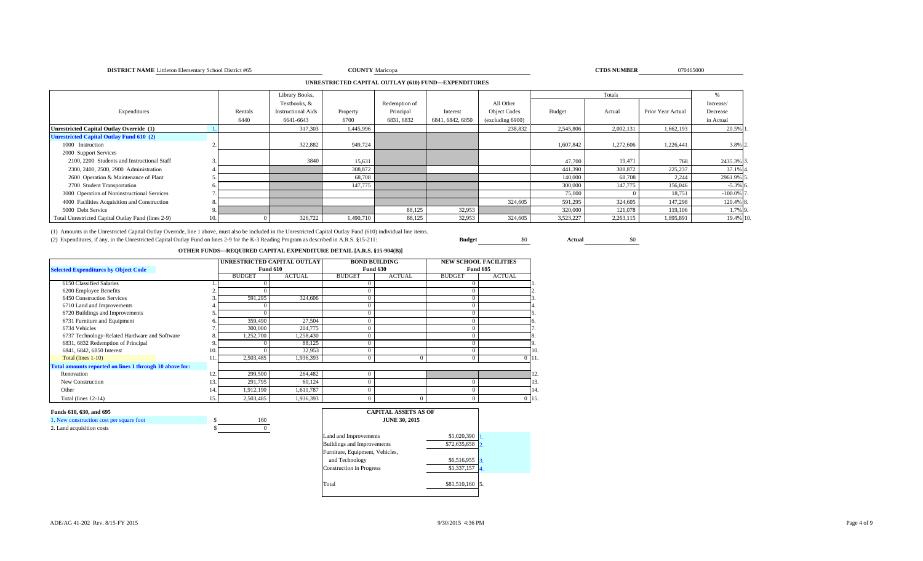### **DISTRICT NAME** Littleton Elementary School District #65 **COUNTY**

**Y** Maricopa 070465000

## **UNRESTRICTED CAPITAL OUTLAY (610) FUND—EXPENDITURES**

|                                                    |         | Library Books,            |           |               |                  |                     |           | Totals    |                   |            |
|----------------------------------------------------|---------|---------------------------|-----------|---------------|------------------|---------------------|-----------|-----------|-------------------|------------|
|                                                    |         | Textbooks, &              |           | Redemption of |                  | All Other           |           |           |                   | Increase/  |
| Expenditures                                       | Rentals | <b>Instructional Aids</b> | Property  | Principal     | Interest         | <b>Object Codes</b> | Budget    | Actual    | Prior Year Actual | Decrease   |
|                                                    | 6440    | 6641-6643                 | 6700      | 6831, 6832    | 6841, 6842, 6850 | (excluding 6900)    |           |           |                   | in Actual  |
| <b>Unrestricted Capital Outlay Override (1)</b>    |         | 317,303                   | 1,445,996 |               |                  | 238,832             | 2,545,806 | 2,002,131 | 1,662,193         | 20.5%      |
| <b>Unrestricted Capital Outlay Fund 610 (2)</b>    |         |                           |           |               |                  |                     |           |           |                   |            |
| 1000 Instruction                                   |         | 322,882                   | 949,724   |               |                  |                     | 1,607,842 | 1,272,606 | 1,226,441         | 3.8% 2.    |
| 2000 Support Services                              |         |                           |           |               |                  |                     |           |           |                   |            |
| 2100, 2200 Students and Instructional Staff        |         | 3840                      | 15,631    |               |                  |                     | 47,700    | 19,471    | 768               | 2435.3% 3  |
| 2300, 2400, 2500, 2900 Administration              |         |                           | 308,872   |               |                  |                     | 441,390   | 308,872   | 225,237           | 37.1% 4    |
| 2600 Operation & Maintenance of Plant              |         |                           | 68,708    |               |                  |                     | 140,000   | 68,708    | 2.244             | 2961.9% 5  |
| 2700 Student Transportation                        |         |                           | 147,775   |               |                  |                     | 300,000   | 147,775   | 156,046           | $-5.3%$ 6  |
| 3000 Operation of Noninstructional Services        |         |                           |           |               |                  |                     | 75,000    |           | 18,751            | $-100.0\%$ |
| 4000 Facilities Acquisition and Construction       |         |                           |           |               |                  | 324,605             | 591,295   | 324,605   | 147,298           | 120.4% 8   |
| 5000 Debt Service                                  |         |                           |           | 88,125        | 32,953           |                     | 320,000   | 121,078   | 119,106           | 1.7% 9     |
| Total Unrestricted Capital Outlay Fund (lines 2-9) |         | 326,722                   | 1,490,710 | 88,125        | 32,953           | 324,605             | 3,523,227 | 2,263,115 | 1,895,891         | 19.4% 10   |

(1) Amounts in the Unrestricted Capital Outlay Override, line 1 above, must also be included in the Unrestricted Capital Outlay Fund (610) individual line items. (2) Expenditures, if any, in the Unrestricted Capital Outlay Fund on lines 2-9 for the K-3 Reading Program as described in A.R.S. §15-211: **Budget** \$0 **Actual** \$0

## **OTHER FUNDS—REQUIRED CAPITAL EXPENDITURE DETAIL [A.R.S. §15-904(B)]**

|                                                         |     |               | UNRESTRICTED CAPITAL OUTLAY |               | <b>BOND BUILDING</b> |               | <b>NEW SCHOOL FACILITIES</b> |
|---------------------------------------------------------|-----|---------------|-----------------------------|---------------|----------------------|---------------|------------------------------|
| <b>Selected Expenditures by Object Code</b>             |     |               | <b>Fund 610</b>             |               | <b>Fund 630</b>      |               | <b>Fund 695</b>              |
|                                                         |     | <b>BUDGET</b> | <b>ACTUAL</b>               | <b>BUDGET</b> | <b>ACTUAL</b>        | <b>BUDGET</b> | <b>ACTUAL</b>                |
| 6150 Classified Salaries                                |     |               |                             |               |                      |               |                              |
| 6200 Employee Benefits                                  |     |               |                             |               |                      |               |                              |
| 6450 Construction Services                              |     | 591,295       | 324,606                     |               |                      |               |                              |
| 6710 Land and Improvements                              |     |               |                             |               |                      |               |                              |
| 6720 Buildings and Improvements                         |     |               |                             | $\Omega$      |                      |               |                              |
| 6731 Furniture and Equipment                            |     | 359,490       | 27,504                      | $\Omega$      |                      |               |                              |
| 6734 Vehicles                                           |     | 300,000       | 204,775                     |               |                      |               |                              |
| 6737 Technology-Related Hardware and Software           |     | 1,252,700     | 1,258,430                   | $\Omega$      |                      |               |                              |
| 6831, 6832 Redemption of Principal                      |     |               | 88,125                      | $\Omega$      |                      |               |                              |
| 6841, 6842, 6850 Interest                               | 10. |               | 32,953                      | $\theta$      |                      |               | 10                           |
| Total (lines $1-10$ )                                   | 11. | 2,503,485     | 1,936,393                   | $\Omega$      |                      |               | $0 \; 11$                    |
| Total amounts reported on lines 1 through 10 above for: |     |               |                             |               |                      |               |                              |
| Renovation                                              | 12. | 299,500       | 264,482                     | $\Omega$      |                      |               | 12                           |
| New Construction                                        | 13. | 291,795       | 60,124                      | $\theta$      |                      |               | 13                           |
| Other                                                   | 14. | 1,912,190     | 1,611,787                   | $\Omega$      |                      |               | 14                           |
| Total (lines 12-14)                                     | 15. | 2,503,485     | 1,936,393                   | $\Omega$      |                      |               | $0$ 15                       |

### **Funds 610, 630, and 695**

| 1. New construction cost per square foot | 160 |
|------------------------------------------|-----|
| 2. Land acquisition costs                |     |

| <b>CAPITAL ASSETS AS OF</b><br><b>JUNE 30, 2015</b> |              |                  |  |  |  |  |  |
|-----------------------------------------------------|--------------|------------------|--|--|--|--|--|
| Land and Improvements                               | \$1,020,390  |                  |  |  |  |  |  |
| <b>Buildings and Improvements</b>                   | \$72,635,658 | $\overline{2}$   |  |  |  |  |  |
| Furniture, Equipment, Vehicles,                     |              |                  |  |  |  |  |  |
| and Technology                                      | \$6,516,955  | $\overline{3}$ . |  |  |  |  |  |
| <b>Construction in Progress</b>                     | \$1,337,157  | $\mathbf{4}$ .   |  |  |  |  |  |
| Total                                               | \$81,510,160 | 5.               |  |  |  |  |  |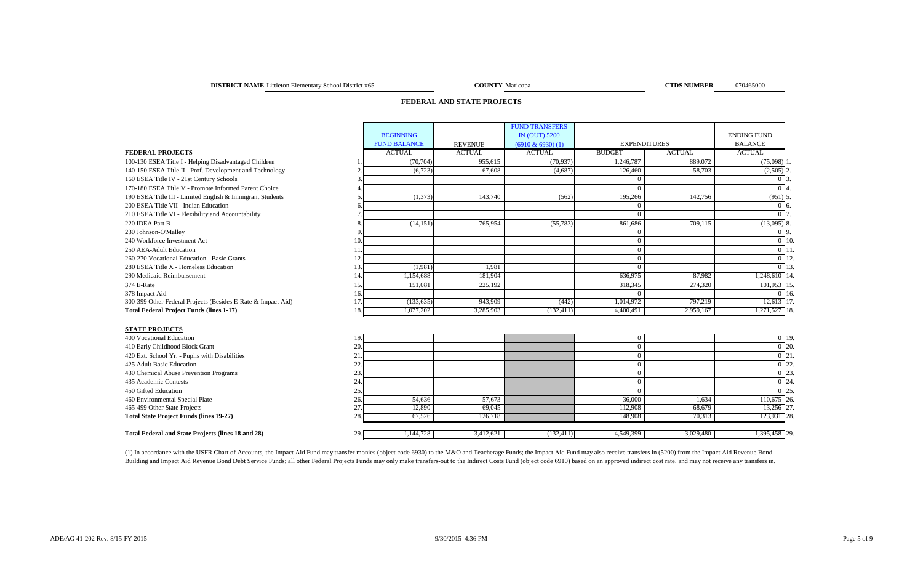### **DISTRICT NAME** Littleton Elementary School District #65 **COUNTY** Maricopa **COUNTY** Maricopa **COUNTY** Maricopa

**COUNTY** Maricopa

### **FEDERAL AND STATE PROJECTS**

|                                                              |     |                     |                | <b>FUND TRANSFERS</b> |                     |               |                    |                 |
|--------------------------------------------------------------|-----|---------------------|----------------|-----------------------|---------------------|---------------|--------------------|-----------------|
|                                                              |     | <b>BEGINNING</b>    |                | <b>IN (OUT) 5200</b>  |                     |               | <b>ENDING FUND</b> |                 |
|                                                              |     | <b>FUND BALANCE</b> | <b>REVENUE</b> | $(6910 \& 6930)$ (1)  | <b>EXPENDITURES</b> |               | <b>BALANCE</b>     |                 |
| <b>FEDERAL PROJECTS</b>                                      |     | <b>ACTUAL</b>       | <b>ACTUAL</b>  | <b>ACTUAL</b>         | <b>BUDGET</b>       | <b>ACTUAL</b> | <b>ACTUAL</b>      |                 |
| 100-130 ESEA Title I - Helping Disadvantaged Children        |     | (70, 704)           | 955.615        | (70, 937)             | 1.246.787           | 889,072       | $(75,098)$ 1       |                 |
| 140-150 ESEA Title II - Prof. Development and Technology     |     | (6, 723)            | 67,608         | (4,687)               | 126,460             | 58,703        | $(2,505)$ 2        |                 |
| 160 ESEA Title IV - 21st Century Schools                     |     |                     |                |                       |                     |               |                    |                 |
| 170-180 ESEA Title V - Promote Informed Parent Choice        |     |                     |                |                       |                     |               |                    |                 |
| 190 ESEA Title III - Limited English & Immigrant Students    |     | (1,373)             | 143,740        | (562)                 | 195,266             | 142,756       | $(951)$ 5.         |                 |
| 200 ESEA Title VII - Indian Education                        |     |                     |                |                       |                     |               | 0 <sub>16</sub>    |                 |
| 210 ESEA Title VI - Flexibility and Accountability           |     |                     |                |                       |                     |               |                    |                 |
| 220 IDEA Part B                                              |     | (14, 151)           | 765,954        | (55, 783)             | 861,686             | 709,115       | $(13,095)$ 8.      |                 |
| 230 Johnson-O'Malley                                         |     |                     |                |                       |                     |               | 0 9.               |                 |
| 240 Workforce Investment Act                                 | 10. |                     |                |                       |                     |               |                    | 0 <sub>10</sub> |
| 250 AEA-Adult Education                                      |     |                     |                |                       | $\Omega$            |               | 0 <sup>11</sup>    |                 |
| 260-270 Vocational Education - Basic Grants                  | 12. |                     |                |                       |                     |               |                    | 0 12            |
| 280 ESEA Title X - Homeless Education                        | 13. | (1,981)             | 1.981          |                       | $\Omega$            |               |                    | 0 13            |
| 290 Medicaid Reimbursement                                   | 14. | 1.154.688           | 181,904        |                       | 636.975             | 87,982        | 1,248,610 14       |                 |
| 374 E-Rate                                                   | 15. | 151,081             | 225,192        |                       | 318,345             | 274,320       | 101,953 15         |                 |
| 378 Impact Aid                                               | 16. |                     |                |                       |                     |               |                    | 0.16            |
| 300-399 Other Federal Projects (Besides E-Rate & Impact Aid) | 17. | (133, 635)          | 943,909        | (442)                 | 1,014,972           | 797,219       | 12,613 17          |                 |
| <b>Total Federal Project Funds (lines 1-17)</b>              | 18. | 1,077,202           | 3,285,903      | (132, 411)            | 4,400,491           | 2,959,167     | 1,271,527 18       |                 |
|                                                              |     |                     |                |                       |                     |               |                    |                 |
| <b>STATE PROJECTS</b>                                        |     |                     |                |                       |                     |               |                    |                 |
| 400 Vocational Education                                     | 19. |                     |                |                       | $\Omega$            |               |                    | $0$ 19          |
| 410 Early Childhood Block Grant                              | 20. |                     |                |                       | $\Omega$            |               |                    | 0 20            |
| 420 Ext. School Yr. - Pupils with Disabilities               | 21  |                     |                |                       | $\Omega$            |               |                    | 0 <sub>21</sub> |
| $\mathbf{A}$                                                 |     |                     |                |                       |                     |               |                    |                 |

| <del>-г</del> оо тосааонаг даасааон                       | 1/1                         |          |           |            |           |           |              | $\mathsf{U}$ $\mathsf{L}$ |
|-----------------------------------------------------------|-----------------------------|----------|-----------|------------|-----------|-----------|--------------|---------------------------|
| 410 Early Childhood Block Grant                           | 20.                         |          |           |            |           |           |              | 0 <sub>20</sub>           |
| 420 Ext. School Yr. - Pupils with Disabilities            | $^{\circ}$ 1<br>$\angle$ 1. |          |           |            |           |           |              | 0 21                      |
| 425 Adult Basic Education                                 | 44.                         |          |           |            |           |           |              | 22                        |
| 430 Chemical Abuse Prevention Programs                    |                             |          |           |            |           |           |              | $0^{23}$                  |
| 435 Academic Contests                                     |                             |          |           |            |           |           |              | 0 24                      |
| 450 Gifted Education                                      | . ب                         |          |           |            |           |           |              | 125.                      |
| 460 Environmental Special Plate                           | 26.                         | 54.636   | 57.673    |            | 36,000    | 1.634     | 110,675 26   |                           |
| 465-499 Other State Projects                              |                             | 12.890   | 69,045    |            | 112.908   | 68.679    | 13,256 27    |                           |
| <b>Total State Project Funds (lines 19-27)</b>            | 28.                         | 67.526   | 126,718   |            | 148.908   | 70.313    | 123,931 28   |                           |
|                                                           |                             |          |           |            |           |           |              |                           |
| <b>Total Federal and State Projects (lines 18 and 28)</b> | 29.                         | ,144,728 | 3,412,621 | (132, 411) | 4,549,399 | 3,029,480 | 1,395,458 29 |                           |

(1) In accordance with the USFR Chart of Accounts, the Impact Aid Fund may transfer monies (object code 6930) to the M&O and Teacherage Funds; the Impact Aid Fund may also receive transfers in (5200) from the Impact Aid Re Building and Impact Aid Revenue Bond Debt Service Funds; all other Federal Projects Funds may only make transfers-out to the Indirect Costs Fund (object code 6910) based on an approved indirect cost rate, and may not recei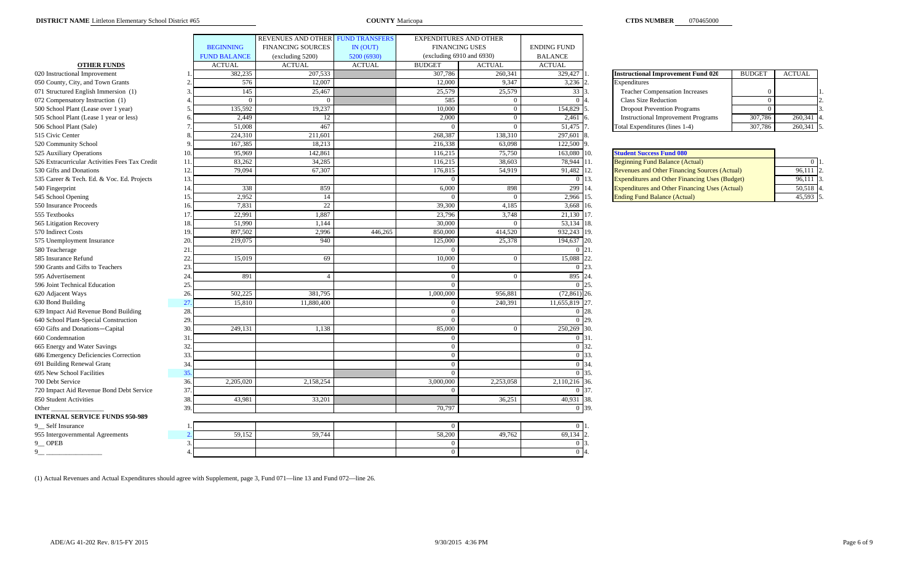|                                                      |                     | REVENUES AND OTHER FUND TRANSFERS |               | <b>EXPENDITURES AND OTHER</b>  |               |                    |                                                              |               |                |
|------------------------------------------------------|---------------------|-----------------------------------|---------------|--------------------------------|---------------|--------------------|--------------------------------------------------------------|---------------|----------------|
|                                                      | <b>BEGINNING</b>    | <b>FINANCING SOURCES</b>          | IN (OUT)      | <b>FINANCING USES</b>          |               | <b>ENDING FUND</b> |                                                              |               |                |
|                                                      | <b>FUND BALANCE</b> | (excluding 5200)                  | 5200 (6930)   | (excluding $6910$ and $6930$ ) |               | <b>BALANCE</b>     |                                                              |               |                |
| <b>OTHER FUNDS</b>                                   | <b>ACTUAL</b>       | <b>ACTUAL</b>                     | <b>ACTUAL</b> | <b>BUDGET</b>                  | <b>ACTUAL</b> | <b>ACTUAL</b>      |                                                              |               |                |
| 020 Instructional Improvement                        | 382,235             | 207,533                           |               | 307,786                        | 260,341       | 329,427            | <b>Instructional Improvement Fund 020</b>                    | <b>BUDGET</b> | <b>ACTUAL</b>  |
| 050 County, City, and Town Grants                    | 576                 | 12,007                            |               | 12,000                         | 9,347         | 3,236              | Expenditures                                                 |               |                |
| 071 Structured English Immersion (1)                 | 145                 | 25,467                            |               | 25,579                         | 25,579        | 33                 | <b>Teacher Compensation Increases</b>                        |               |                |
| 072 Compensatory Instruction (1)                     | $\Omega$            |                                   |               | 585                            | $\Omega$      | $\Omega$           | <b>Class Size Reduction</b>                                  | $\Omega$      |                |
| 500 School Plant (Lease over 1 year)                 | 135,592             | 19.237                            |               | 10.000                         | $\Omega$      | 154,829            | <b>Dropout Prevention Programs</b>                           | $\Omega$      |                |
| 505 School Plant (Lease 1 year or less)              | 2,449               | 12                                |               | 2,000                          | $\Omega$      | 2,461              | <b>Instructional Improvement Programs</b>                    | 307,786       | 260,341        |
| 506 School Plant (Sale)                              | 51,008              | 467                               |               | $\sqrt{ }$                     | $\Omega$      | 51,475             | Total Expenditures (lines 1-4)                               | 307,786       | 260,341        |
| 515 Civic Center                                     | 224.310             | 211,601                           |               | 268,387                        | 138,310       | 297.601            |                                                              |               |                |
| 520 Community School                                 | 167,385             | 18,213                            |               | 216,338                        | 63,098        | 122,500            |                                                              |               |                |
| 525 Auxiliary Operations<br>10                       | 95,969              | 142,861                           |               | 116,215                        | 75,750        | 163,080            | 10.<br><b>Student Success Fund 080</b>                       |               |                |
| 526 Extracurricular Activities Fees Tax Credit<br>11 | 83,262              | 34,285                            |               | 116,215                        | 38,603        | 78,944 11.         | <b>Beginning Fund Balance (Actual)</b>                       |               | $\overline{0}$ |
| 530 Gifts and Donations<br>12                        | 79,094              | 67,307                            |               | 176,815                        | 54,919        | 91,482 12.         | Revenues and Other Financing Sources (Actual)                |               | 96,111         |
| 13<br>535 Career & Tech. Ed. & Voc. Ed. Projects     |                     |                                   |               |                                |               | $\overline{0}$     | 13.<br><b>Expenditures and Other Financing Uses (Budget)</b> |               | 96,111         |
| 14<br>540 Fingerprint                                | 338                 | 859                               |               | 6,000                          | 898           | 299                | 14.<br><b>Expenditures and Other Financing Uses (Actual)</b> |               | 50,518         |
| 545 School Opening<br>15                             | 2,952               | 14                                |               |                                | $\Omega$      | 2,966              | 15.<br><b>Ending Fund Balance (Actual)</b>                   |               | 45,593         |
| 550 Insurance Proceeds<br>16                         | 7,831               | 22                                |               | 39,300                         | 4,185         | 3,668              | 16.                                                          |               |                |
| 17.<br>555 Textbooks                                 | 22,991              | 1,887                             |               | 23,796                         | 3,748         | 21,130 17.         |                                                              |               |                |
| 565 Litigation Recovery<br>18                        | 51,990              | 1,144                             |               | 30,000                         |               | 53,134 18.         |                                                              |               |                |
| 570 Indirect Costs<br>19                             | 897,502             | 2,996                             | 446,265       | 850,000                        | 414,520       | 932,243 19.        |                                                              |               |                |
| 575 Unemployment Insurance<br>20                     | 219,075             | 940                               |               | 125,000                        | 25,378        | 194,637            | 20.                                                          |               |                |
| 580 Teacherage<br>21                                 |                     |                                   |               |                                |               | $0\,121.$          |                                                              |               |                |
| 22<br>585 Insurance Refund                           | 15,019              | 69                                |               | 10,000                         | $\Omega$      | 15,088             | 22.                                                          |               |                |
| 23<br>590 Grants and Gifts to Teachers               |                     |                                   |               | $\sqrt{ }$                     |               | $\overline{0}$     | 23.                                                          |               |                |
| 595 Advertisement<br>24                              | 891                 |                                   |               | $\sqrt{ }$                     |               | 895                | 24.                                                          |               |                |
| 25<br>596 Joint Technical Education                  |                     |                                   |               |                                |               | $\theta$           | 25.                                                          |               |                |
| 620 Adjacent Ways<br>26                              | 502,225             | 381,795                           |               | 1,000,000                      | 956,881       | $(72,861)$ 26.     |                                                              |               |                |
| 630 Bond Building<br>27.                             | 15,810              | 11,880,400                        |               | $\Omega$                       | 240,391       | 11,655,819         | 27.                                                          |               |                |
| 639 Impact Aid Revenue Bond Building<br>28           |                     |                                   |               | $\Omega$                       |               | $\Omega$           | 28.                                                          |               |                |
| 640 School Plant-Special Construction<br>29          |                     |                                   |               | $\Omega$                       |               | $\overline{0}$     | 29.                                                          |               |                |
| 650 Gifts and Donations-Capital<br>30                | 249,131             | 1,138                             |               | 85,000                         | $\Omega$      | 250,269            | 30.                                                          |               |                |
| 660 Condemnation<br>31                               |                     |                                   |               | $\sqrt{ }$                     |               | 0 31.              |                                                              |               |                |
| 32<br>665 Energy and Water Savings                   |                     |                                   |               | $\sqrt{ }$                     |               | $\overline{0}$     | 32.                                                          |               |                |
| 686 Emergency Deficiencies Correction<br>33.         |                     |                                   |               | $\Omega$                       |               | $\overline{0}$     | 33.                                                          |               |                |
| 691 Building Renewal Grant<br>34                     |                     |                                   |               | $\Omega$                       |               | $0\,34$            |                                                              |               |                |
| 695 New School Facilities<br>35.                     |                     |                                   |               | $\Omega$                       |               | $0\,$ 35.          |                                                              |               |                |
| 700 Debt Service<br>36                               | 2,205,020           | 2,158,254                         |               | 3,000,000                      | 2,253,058     | 2,110,216          | 36.                                                          |               |                |
| 37<br>720 Impact Aid Revenue Bond Debt Service       |                     |                                   |               |                                |               | 0 37.              |                                                              |               |                |
| 850 Student Activities<br>38.                        | 43,981              | 33,201                            |               |                                | 36,251        | 40,931             | 38.                                                          |               |                |
| Other<br>39                                          |                     |                                   |               | 70,797                         |               | 0 39.              |                                                              |               |                |
| <b>INTERNAL SERVICE FUNDS 950-989</b>                |                     |                                   |               |                                |               |                    |                                                              |               |                |
| 9 Self Insurance                                     |                     |                                   |               |                                |               | $\overline{0}$     |                                                              |               |                |
| 955 Intergovernmental Agreements                     | 59,152              | 59,744                            |               | 58,200                         | 49,762        | 69,134             |                                                              |               |                |
| $9$ OPEB<br>$\mathcal{R}$                            |                     |                                   |               | $\Omega$                       |               | $\overline{0}$     |                                                              |               |                |
| 9                                                    |                     |                                   |               | $\Omega$                       |               | $\overline{0}$     |                                                              |               |                |

| nstructional Improvement Fund 020         | <b>BUDGET</b> | <b>ACTUAL</b> |    |
|-------------------------------------------|---------------|---------------|----|
| <b>Expenditures</b>                       |               |               |    |
| <b>Teacher Compensation Increases</b>     |               |               |    |
| <b>Class Size Reduction</b>               |               |               | 2. |
| <b>Dropout Prevention Programs</b>        |               |               |    |
| <b>Instructional Improvement Programs</b> | 307,786       | 260,341       |    |
| <b>Cotal Expenditures (lines 1-4)</b>     | 307,786       | 260,341       |    |

| <b>Student Success Fund 080</b>                       |               |
|-------------------------------------------------------|---------------|
| <b>Beginning Fund Balance (Actual)</b>                |               |
| <b>Revenues and Other Financing Sources (Actual)</b>  | 12.<br>96,111 |
| <b>Expenditures and Other Financing Uses (Budget)</b> | 96,111<br>13. |
| <b>Expenditures and Other Financing Uses (Actual)</b> | 50,518<br>14. |
| <b>Ending Fund Balance (Actual)</b>                   | 45,593<br>15. |

(1) Actual Revenues and Actual Expenditures should agree with Supplement, page 3, Fund 071—line 13 and Fund 072—line 26.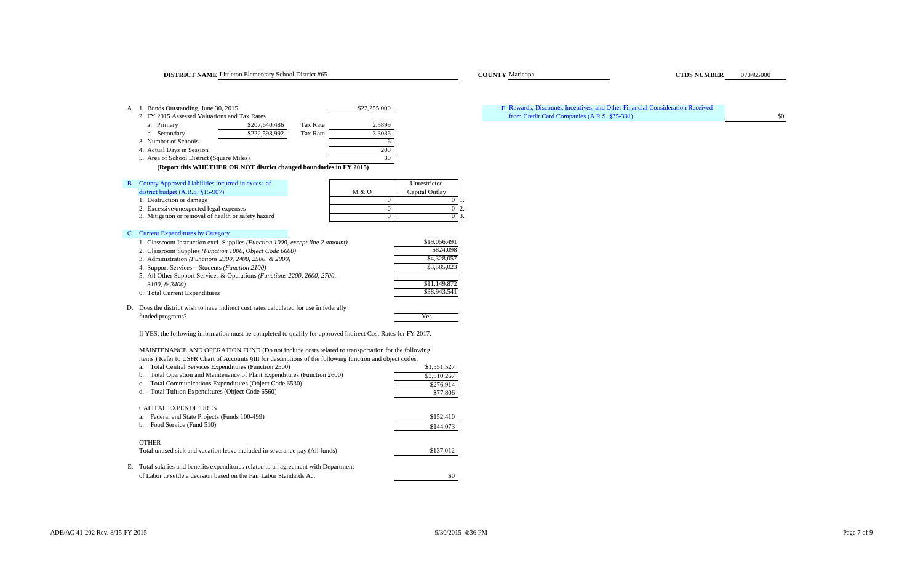### **DISTRICT NAME** Littleton Elementary School District #65 Maricopa COUNTY Maricopa COUNTY Maricopa CTDS NUMBER

| А. | 1. Bonds Outstanding, June 30, 2015<br>2. FY 2015 Assessed Valuations and Tax Rates |                 | \$22,255,000 |                    | F. |
|----|-------------------------------------------------------------------------------------|-----------------|--------------|--------------------|----|
|    | \$207,640,486<br>a. Primary                                                         | <b>Tax Rate</b> | 2.5899       |                    |    |
|    | \$222,598,992<br>b. Secondary                                                       | Tax Rate        | 3.3086       |                    |    |
|    | 3. Number of Schools                                                                |                 | 6            |                    |    |
|    | 4. Actual Days in Session                                                           |                 | 200          |                    |    |
|    | 5. Area of School District (Square Miles)                                           |                 | 30           |                    |    |
|    | (Report this WHETHER OR NOT district changed boundaries in FY 2015)                 |                 |              |                    |    |
| В. | County Approved Liabilities incurred in excess of                                   |                 |              | Unrestricted       |    |
|    | district budget $(A.R.S. §15-907)$                                                  |                 | M & O        | Capital Outlay     |    |
|    | 1. Destruction or damage                                                            |                 | $\Omega$     | 0<br>п.            |    |
|    | 2. Excessive/unexpected legal expenses                                              |                 | $\Omega$     | $\mathbf{0}$<br>2. |    |
|    | 3. Mitigation or removal of health or safety hazard                                 |                 | $\Omega$     | $0\,$   3.         |    |
| C. | <b>Current Expenditures by Category</b>                                             |                 |              |                    |    |
|    | 1. Classroom Instruction excl. Supplies (Function 1000, except line 2 amount)       |                 |              | \$19,056,491       |    |
|    | 2. Classroom Supplies (Function 1000, Object Code 6600)                             |                 |              | \$824,098          |    |
|    | 3. Administration ( <i>Functions 2300, 2400, 2500, &amp; 2900</i> )                 |                 |              | \$4,328,057        |    |
|    | 4. Support Services—Students (Function 2100)                                        |                 |              | \$3,585,023        |    |
|    | 5. All Other Support Services & Operations (Functions 2200, 2600, 2700,             |                 |              |                    |    |
|    | 3100, & 3400)                                                                       |                 |              | \$11,149,872       |    |
|    | 6. Total Current Expenditures                                                       |                 |              | \$38,943,541       |    |

D. Does the district wish to have indirect cost rates calculated for use in federally funded programs? Yes

If YES, the following information must be completed to qualify for approved Indirect Cost Rates for FY 2017.

MAINTENANCE AND OPERATION FUND (Do not include costs related to transportation for the following items.) Refer to USFR Chart of Accounts §III for descriptions of the following function and object codes:

| Total Central Services Expenditures (Function 2500)<br>a.                              | \$1,551,527 |
|----------------------------------------------------------------------------------------|-------------|
| Total Operation and Maintenance of Plant Expenditures (Function 2600)<br>b.            | \$3,510,267 |
| Total Communications Expenditures (Object Code 6530)<br>c.                             | \$276,914   |
| Total Tuition Expenditures (Object Code 6560)<br>d.                                    | \$77,806    |
| <b>CAPITAL EXPENDITURES</b>                                                            |             |
| Federal and State Projects (Funds 100-499)<br>a.                                       | \$152,410   |
| Food Service (Fund 510)<br>b.                                                          | \$144,073   |
| <b>OTHER</b>                                                                           |             |
| Total unused sick and vacation leave included in severance pay (All funds)             | \$137,012   |
| Е.<br>Total salaries and benefits expenditures related to an agreement with Department |             |
| of Labor to settle a decision based on the Fair Labor Standards Act                    | \$0         |

## s and the companies (A.R.S. §35-391) Solved the companies (A.R.S. §35-391) Rewards, Discounts, Incentives, and Other Financial Consideration Received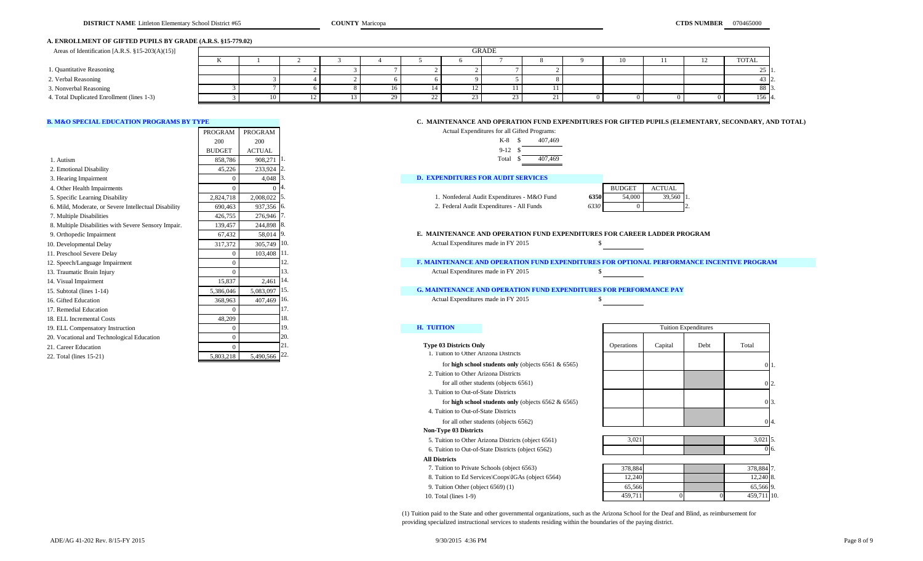### **A. ENROLLMENT OF GIFTED PUPILS BY GRADE (A.R.S. §15-779.02)**

| Areas of Identification [A.R.S. $\S 15-203(A)(15)$ ] |    | <b>GRADE</b> |  |  |  |  |  |  |  |  |     |  |              |
|------------------------------------------------------|----|--------------|--|--|--|--|--|--|--|--|-----|--|--------------|
|                                                      | 17 |              |  |  |  |  |  |  |  |  | ΙOΞ |  | <b>TOTAL</b> |
| 1. Quantitative Reasoning                            |    |              |  |  |  |  |  |  |  |  |     |  |              |
| 2. Verbal Reasoning                                  |    |              |  |  |  |  |  |  |  |  |     |  |              |
| 3. Nonverbal Reasoning                               |    |              |  |  |  |  |  |  |  |  |     |  | 88 I         |
| 4. Total Duplicated Enrollment (lines 1-3)           |    |              |  |  |  |  |  |  |  |  |     |  | 156 4.       |

|                                                      | PROGRAM       | <b>PROGRAM</b>             | Actual Expenditures for all Gifted Programs:                                     |               |               |
|------------------------------------------------------|---------------|----------------------------|----------------------------------------------------------------------------------|---------------|---------------|
|                                                      | 200           | 200                        | $K-8$ \$<br>407,469                                                              |               |               |
|                                                      | <b>BUDGET</b> | <b>ACTUAL</b>              | $9-12S$                                                                          |               |               |
| 1. Autism                                            | 858.786       | 908,271                    | Total<br>407,469                                                                 |               |               |
| 2. Emotional Disability                              | 45,226        | 233,924                    |                                                                                  |               |               |
| 3. Hearing Impairment                                |               | 4,048                      | <b>D. EXPENDITURES FOR AUDIT SERVICES</b>                                        |               |               |
| 4. Other Health Impairments                          |               | $\Omega$                   |                                                                                  | <b>BUDGET</b> | <b>ACTUAL</b> |
| 5. Specific Learning Disability                      | 2,824,718     | 2,008,022                  | 1. Nonfederal Audit Expenditures - M&O Fund<br>6350                              | 54,000        | 39,56         |
| 6. Mild, Moderate, or Severe Intellectual Disability | 690,463       | 937,356 6.                 | 2. Federal Audit Expenditures - All Funds<br>6330                                | $\Omega$      |               |
| 7. Multiple Disabilities                             | 426,755       | 276,946                    |                                                                                  |               |               |
| 8. Multiple Disabilities with Severe Sensory Impair. | 139,457       | 244,898 8.                 |                                                                                  |               |               |
| 9. Orthopedic Impairment                             | 67,432        | 58,014 9.                  | E. MAINTENANCE AND OPERATION FUND EXPENDITURES FOR CAREER LADDER                 |               |               |
| 10. Developmental Delay                              | 317,372       | 305,749 10.                | Actual Expenditures made in FY 2015                                              |               |               |
| 11. Preschool Severe Delay                           | $\Omega$      | 103,408                    | 11.                                                                              |               |               |
| 12. Speech/Language Impairment                       |               |                            | <b>F. MAINTENANCE AND OPERATION FUND EXPENDITURES FOR OPTIONAL PERFOL</b><br>12. |               |               |
| 13. Traumatic Brain Injury                           |               |                            | Actual Expenditures made in FY 2015<br>13.                                       |               |               |
| 14. Visual Impairment                                | 15,837        | 2,461                      | 14.                                                                              |               |               |
| 15. Subtotal (lines 1-14)                            | 5,386,046     | 5,083,097                  | <b>G. MAINTENANCE AND OPERATION FUND EXPENDITURES FOR PERFORMANCE P</b><br>15.   |               |               |
| 16. Gifted Education                                 | 368,963       | 407,469                    | Actual Expenditures made in FY 2015<br>16.                                       |               |               |
| 17. Remedial Education                               |               |                            | 17.                                                                              |               |               |
| 18. ELL Incremental Costs                            | 48,209        |                            | 18.                                                                              |               |               |
| 19. ELL Compensatory Instruction                     |               |                            | <b>H. TUITION</b><br>19.                                                         |               | Tuition       |
| 20. Vocational and Technological Education           |               |                            | 20.                                                                              |               |               |
| 21. Career Education                                 | $\Omega$      |                            | <b>Type 03 Districts Only</b>                                                    | Operations    | Capital       |
| 22. Total (lines 15-21)                              | 5,803,218     | $5,490,566$ <sup>22.</sup> | 1. Tuition to Other Arizona Districts                                            |               |               |
|                                                      |               |                            |                                                                                  |               |               |

## **B. M&O SPECIAL EDUCATION PROGRAMS BY TYPE CONDARY, AND TOTAL) C. MAINTENANCE AND OPERATION FUND EXPENDITURES FOR GIFTED PUPILS (ELEMENTARY, SECONDARY, AND TOTAL)**



|      | <b>BUDGET</b> | ACTUAL |  |
|------|---------------|--------|--|
| 6350 | 54,000        | 39,560 |  |
| 6330 |               |        |  |

9. Orthopedic Impairment 67,432 58,014 9. **E. MAINTENANCE AND OPERATION FUND EXPENDITURES FOR CAREER LADDER PROGRAM** 

12. Speech/Language Impairment **12. 12. F. MAINTENANCE AND OPERATION FUND EXPENDITURES FOR OPTIONAL PERFORMANCE INCENTIVE PROGRAM** 

# 15. Subtotal (lines 1-14) 5,386,046 5,083,097 15. **G. MAINTENANCE AND OPERATION FUND EXPENDITURES FOR PERFORMANCE PAY**

**21. Type 03 Districts Only 2018 Contract According to Capital Debt Total Debt Total Debt Total Debt Total Debt Total Debt Total Debt Total Debt Total Debt Total Debt Total Debt Total Debt Total Debt Total Debt Total Debt** 

1. Tuition to Other Arizona Districts for **high school students only** (objects 6561 & 6565)

2. Tuition to Other Arizona Districts

for all other students (objects 6561)

3. Tuition to Out-of-State Districts

 4. Tuition to Out-of-State Districtsfor **high school students only** (objects 6562 & 6565)

for all other students (objects 6562)

 **Non-Type 03 Districts**

### **All Districts**

- 7. Tuition to Private Schools (object 6563)
- 8. Tuition to Ed Services\Coops\IGAs (object 6564)
- 9. Tuition Other (object 6569) (1)

| LAUIL I VIJE UJ IJISLITELS                          |         |  |             |      |
|-----------------------------------------------------|---------|--|-------------|------|
| 5. Tuition to Other Arizona Districts (object 6561) | 3.021   |  | 3.02115.    |      |
| 6. Tuition to Out-of-State Districts (object 6562)  |         |  |             | 0.6. |
| <b>All Districts</b>                                |         |  |             |      |
| 7. Tuition to Private Schools (object 6563)         | 378,884 |  | 378,884 7.  |      |
| 8. Tuition to Ed Services\Coops\IGAs (object 6564)  | 12.240  |  | 12.240 8.   |      |
| 9. Tuition Other (object 6569) (1)                  | 65,566  |  | 65.566 9.   |      |
| 10. Total (lines $1-9$ )                            | 459.711 |  | 459.711 10. |      |

Tuition Expenditures

011.

0 2.

013.

0 4.

(1) Tuition paid to the State and other governmental organizations, such as the Arizona School for the Deaf and Blind, as reimbursement for providing specialized instructional services to students residing within the boundaries of the paying district.